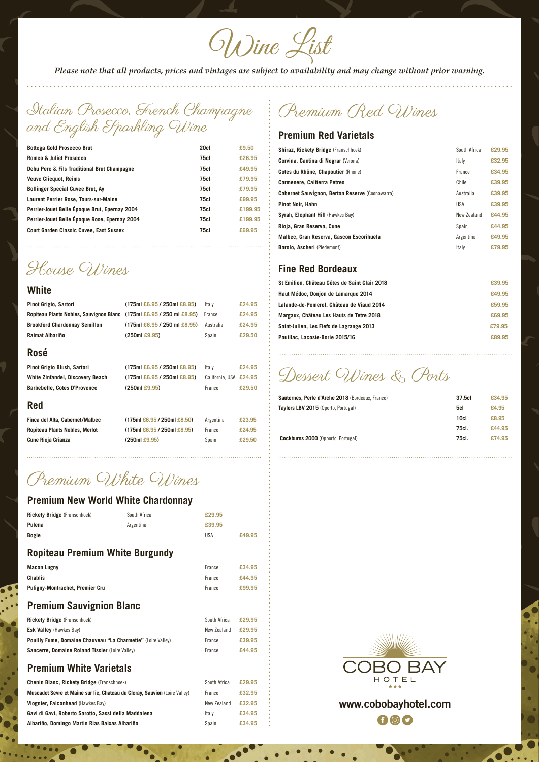Wine List

*Please note that all products, prices and vintages are subject to availability and may change without prior warning.*

Italian Prosecco, French Champagne and English Sparkling Wine

| <b>75cl</b><br>£26.95<br><b>Romeo &amp; Juliet Prosecco</b><br>£49.95<br><b>75cl</b><br>Dehu Pere & Fils Traditional Brut Champagne<br><b>75cl</b><br>£79.95<br><b>Veuve Clicquot, Reims</b><br><b>75cl</b><br>£79.95<br><b>Bollinger Special Cuvee Brut, Ay</b><br><b>75cl</b><br>£99.95<br>Laurent Perrier Rose, Tours-sur-Maine<br>Perrier-Jouet Belle Époque Brut, Epernay 2004<br><b>75cl</b><br>£199.95<br>Perrier-Jouet Belle Époque Rose, Epernay 2004<br><b>75cl</b><br>£199.95 | <b>Bottega Gold Prosecco Brut</b>              | 20cl | £9.50  |
|------------------------------------------------------------------------------------------------------------------------------------------------------------------------------------------------------------------------------------------------------------------------------------------------------------------------------------------------------------------------------------------------------------------------------------------------------------------------------------------|------------------------------------------------|------|--------|
|                                                                                                                                                                                                                                                                                                                                                                                                                                                                                          |                                                |      |        |
|                                                                                                                                                                                                                                                                                                                                                                                                                                                                                          |                                                |      |        |
|                                                                                                                                                                                                                                                                                                                                                                                                                                                                                          |                                                |      |        |
|                                                                                                                                                                                                                                                                                                                                                                                                                                                                                          |                                                |      |        |
|                                                                                                                                                                                                                                                                                                                                                                                                                                                                                          |                                                |      |        |
|                                                                                                                                                                                                                                                                                                                                                                                                                                                                                          |                                                |      |        |
|                                                                                                                                                                                                                                                                                                                                                                                                                                                                                          |                                                |      |        |
|                                                                                                                                                                                                                                                                                                                                                                                                                                                                                          | <b>Court Garden Classic Cuvee, East Sussex</b> | 75c1 | £69.95 |

House Wines

#### **White**

| Pinot Grigio, Sartori                                                       | $(175m1 \& 6.95 / 250m1 \& 8.95)$                           | Italv     | £24.95 |
|-----------------------------------------------------------------------------|-------------------------------------------------------------|-----------|--------|
| Ropiteau Plants Nobles, Sauvignon Blanc (175ml £6.95 / 250 ml £8.95) France |                                                             |           | £24.95 |
| <b>Brookford Chardonnay Semillon</b>                                        | $(175m1 \text{ } \pounds6.95 / 250m1 \text{ } \pounds8.95)$ | Australia | £24.95 |
| Raimat Albariño                                                             | $(250m1 \text{ } \pounds9.95)$                              | Spain     | £29.50 |
|                                                                             |                                                             |           |        |

#### **Rosé**

| Pinot Grigio Blush, Sartori             | $(175m1 \text{ } \text{\textsterling}6.95 / 250m1 \text{ } \text{\textsterling}8.95)$ | Italy                  | £24.95 |
|-----------------------------------------|---------------------------------------------------------------------------------------|------------------------|--------|
| <b>White Zinfandel, Discovery Beach</b> | $(175m1 \text{ } \text{\textsterling}6.95 / 250m1 \text{ } \text{\textsterling}8.95)$ | California, USA £24,95 |        |
| <b>Barbebelle, Cotes D'Provence</b>     | (250mE9.95)                                                                           | France                 | £29.50 |

### **Red**

| Finca del Alta, Cabernet/Malbec | $(175m1 \text{ } \text{\textsterling}6.95 / 250m1 \text{ } \text{\textsterling}8.50)$ | Argentina | £23.95 |
|---------------------------------|---------------------------------------------------------------------------------------|-----------|--------|
| Ropiteau Plants Nobles, Merlot  | $(175mI \text{ } \pounds6.95 / 250mI \text{ } \pounds8.95)$                           | France    | £24.95 |
| Cune Rioja Crianza              | (250mE9.95)                                                                           | Spain     | £29.50 |

| iml £6.95 / 250ml £8.50) | Argentina | £23. |
|--------------------------|-----------|------|
| iml £6.95 / 250ml £8.95) | France    | £24. |
| )ml £9.95)               | Spain     | £29. |

# Premium Red Wines

Premium White Wines

### **Premium New World White Chardonnay**

| <b>Rickety Bridge</b> (Franschhoek) | South Africa | £29.95 |        |
|-------------------------------------|--------------|--------|--------|
| <b>Pulena</b>                       | Argentina    | £39.95 |        |
| <b>Bogle</b>                        |              | USA    | £49.95 |
|                                     |              |        |        |

## **Ropiteau Premium White Burgundy**

| <b>Macon Lugny</b> | France | £34.95 |
|--------------------|--------|--------|
|                    |        |        |

| <b>Chablis</b> |  |  |
|----------------|--|--|
|                |  |  |
|                |  |  |
|                |  |  |

Ō

| Chablis                                                                    | France       | £44.95 |  |
|----------------------------------------------------------------------------|--------------|--------|--|
| <b>Puligny-Montrachet, Premier Cru</b>                                     | France       | £99.95 |  |
| <b>Premium Sauvignion Blanc</b>                                            |              |        |  |
| <b>Rickety Bridge</b> (Franschhoek)                                        | South Africa | £29.95 |  |
| <b>Esk Valley</b> (Hawkes Bay)                                             | New Zealand  | £29.95 |  |
| <b>Pouilly Fume, Domaine Chauveau "La Charmette"</b> (Loire Valley)        | France       | £39.95 |  |
| <b>Sancerre, Domaine Roland Tissier (Loire Valley)</b>                     | France       | £44.95 |  |
| <b>Premium White Varietals</b>                                             |              |        |  |
| <b>Chenin Blanc, Rickety Bridge (Franschhoek)</b>                          | South Africa | £29.95 |  |
| Muscadet Sevre et Maine sur lie, Chateau du Cleray, Sauvion (Loire Valley) | France       | £32.95 |  |
| Viognier, Falconhead (Hawkes Bay)                                          | New Zealand  | £32.95 |  |
| Gavi di Gavi, Roberto Sarotto, Sassi della Maddalena                       | Italy        | £34.95 |  |
| Albariño, Domingo Martin Rias Baixas Albariño                              | Spain        | £34.95 |  |



### **Premium Sauvignion Blanc**

# **www.cobobayhotel.com** $f$   $f$

### **Premium White Varietals**

### **Premium Red Varietals**

| <b>Shiraz, Rickety Bridge (Franschhoek)</b>            | South Africa | £29.95 |
|--------------------------------------------------------|--------------|--------|
| <b>Corvina, Cantina di Negrar (Verona)</b>             | Italy        | £32.95 |
| Cotes du Rhône, Chapoutier (Rhone)                     | France       | £34.95 |
| Carmenere, Caliterra Petreo                            | Chile        | £39.95 |
| <b>Cabernet Sauvignon, Berton Reserve (Coonawarra)</b> | Australia    | £39.95 |
| <b>Pinot Noir, Hahn</b>                                | USA          | £39.95 |
| Syrah, Elephant Hill (Hawkes Bay)                      | New Zealand  | £44.95 |
| Rioja, Gran Reserva, Cune                              | Spain        | £44.95 |
| Malbec, Gran Reserva, Gascon Escorihuela               | Argentina    | £49.95 |
| <b>Barolo, Ascheri</b> (Piedemont)                     | Italy        | £79.95 |

# **Fine Red Bordeaux**

| £39.95 |
|--------|
| £49.95 |
| £59.95 |
| £69.95 |
| £79.95 |
| £89.95 |
|        |

Dessert Wines & Ports

| <b>Sauternes, Perle d'Arche 2018</b> (Bordeaux, France) | 37.5cl | £34.95 |
|---------------------------------------------------------|--------|--------|
| Taylors LBV 2015 (Oporto, Portugal)                     | 5cl    | £4.95  |
|                                                         | 10cl   | £8.95  |
|                                                         | 75cl.  | £44.95 |
| <b>Cockburns 2000</b> (Opporto, Portugal)               | 75cl.  | £74.95 |